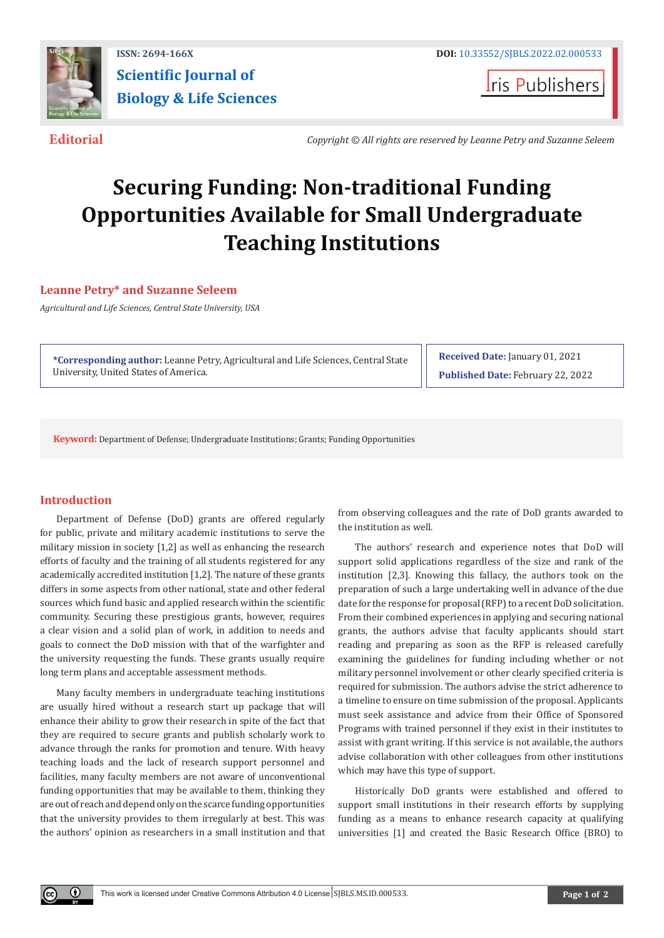

# **ISSN: 2694-166X DOI:** [10.33552/SJBLS.2022.02.000533](http://dx.doi.org/10.33552/SJBLS.2022.02.000533) **Scientific Journal of Biology & Life Sciences**

**Iris Publishers** 

**Editorial** *Copyright © All rights are reserved by Leanne Petry and Suzanne Seleem*

# **Securing Funding: Non-traditional Funding Opportunities Available for Small Undergraduate Teaching Institutions**

## **Leanne Petry\* and Suzanne Seleem**

*Agricultural and Life Sciences, Central State University, USA*

**\*Corresponding author:** Leanne Petry, Agricultural and Life Sciences, Central State University, United States of America.

**Received Date:** January 01, 2021 **Published Date:** February 22, 2022

**Keyword:** Department of Defense; Undergraduate Institutions; Grants; Funding Opportunities

## **Introduction**

 $^{\circ}$ 

Department of Defense (DoD) grants are offered regularly for public, private and military academic institutions to serve the military mission in society [1,2] as well as enhancing the research efforts of faculty and the training of all students registered for any academically accredited institution [1,2]. The nature of these grants differs in some aspects from other national, state and other federal sources which fund basic and applied research within the scientific community. Securing these prestigious grants, however, requires a clear vision and a solid plan of work, in addition to needs and goals to connect the DoD mission with that of the warfighter and the university requesting the funds. These grants usually require long term plans and acceptable assessment methods.

Many faculty members in undergraduate teaching institutions are usually hired without a research start up package that will enhance their ability to grow their research in spite of the fact that they are required to secure grants and publish scholarly work to advance through the ranks for promotion and tenure. With heavy teaching loads and the lack of research support personnel and facilities, many faculty members are not aware of unconventional funding opportunities that may be available to them, thinking they are out of reach and depend only on the scarce funding opportunities that the university provides to them irregularly at best. This was the authors' opinion as researchers in a small institution and that

from observing colleagues and the rate of DoD grants awarded to the institution as well.

The authors' research and experience notes that DoD will support solid applications regardless of the size and rank of the institution [2,3]. Knowing this fallacy, the authors took on the preparation of such a large undertaking well in advance of the due date for the response for proposal (RFP) to a recent DoD solicitation. From their combined experiences in applying and securing national grants, the authors advise that faculty applicants should start reading and preparing as soon as the RFP is released carefully examining the guidelines for funding including whether or not military personnel involvement or other clearly specified criteria is required for submission. The authors advise the strict adherence to a timeline to ensure on time submission of the proposal. Applicants must seek assistance and advice from their Office of Sponsored Programs with trained personnel if they exist in their institutes to assist with grant writing. If this service is not available, the authors advise collaboration with other colleagues from other institutions which may have this type of support.

Historically DoD grants were established and offered to support small institutions in their research efforts by supplying funding as a means to enhance research capacity at qualifying universities [1] and created the Basic Research Office (BRO) to